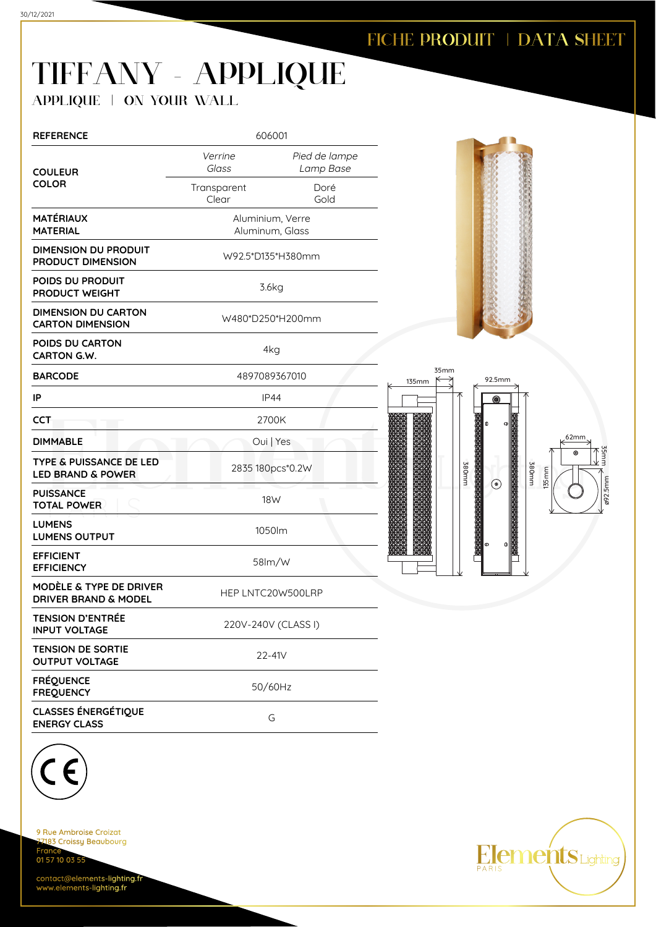## TIFFANY - APPLIQUE

APPLIQUE | ON YOUR WALL

| <b>REFERENCE</b>                                                      | 606001                              |                            |  |
|-----------------------------------------------------------------------|-------------------------------------|----------------------------|--|
| <b>COULEUR</b><br><b>COLOR</b>                                        | Verrine<br>Glass                    | Pied de lampe<br>Lamp Base |  |
|                                                                       | Transparent<br>Clear                | Doré<br>Gold               |  |
| MATÉRIAUX<br><b>MATERIAL</b>                                          | Aluminium, Verre<br>Aluminum, Glass |                            |  |
| <b>DIMENSION DU PRODUIT</b><br><b>PRODUCT DIMENSION</b>               | W92.5*D135*H380mm                   |                            |  |
| POIDS DU PRODUIT<br><b>PRODUCT WEIGHT</b>                             | 3.6kg                               |                            |  |
| <b>DIMENSION DU CARTON</b><br><b>CARTON DIMENSION</b>                 | W480*D250*H200mm                    |                            |  |
| POIDS DU CARTON<br>CARTON G.W.                                        | 4kg                                 |                            |  |
| <b>BARCODE</b>                                                        | 4897089367010                       |                            |  |
| IP                                                                    | <b>IP44</b>                         |                            |  |
| <b>CCT</b>                                                            | 2700K                               |                            |  |
| <b>DIMMABLE</b>                                                       | Oui   Yes                           |                            |  |
| TYPE & PUISSANCE DE LED<br><b>LED BRAND &amp; POWER</b>               | 2835 180pcs*0.2W                    |                            |  |
| <b>PUISSANCE</b><br><b>TOTAL POWER</b>                                | 18W                                 |                            |  |
| <b>LUMENS</b><br><b>LUMENS OUTPUT</b>                                 | 1050lm                              |                            |  |
| <b>EFFICIENT</b><br><b>EFFICIENCY</b>                                 | $58$ m/w                            |                            |  |
| <b>MODÈLE &amp; TYPE DE DRIVER</b><br><b>DRIVER BRAND &amp; MODEL</b> | HEP LNTC20W500LRP                   |                            |  |
| <b>TENSION D'ENTRÉE</b><br><b>INPUT VOLTAGE</b>                       | 220V-240V (CLASS I)                 |                            |  |
| <b>TENSION DE SORTIE</b><br><b>OUTPUT VOLTAGE</b>                     | 22-41V                              |                            |  |
| <b>FRÉQUENCE</b><br><b>FREQUENCY</b>                                  | 50/60Hz                             |                            |  |
| <b>CLASSES ÉNERGÉTIQUE</b><br><b>ENERGY CLASS</b>                     | G                                   |                            |  |





ø92.5mm

35mm

9 Rue Ambroise Croizat 183 Croissy Beaubourg Fran 01 57 10 03 55

contact@elements-lighting.fr www.elements-lighting.fr

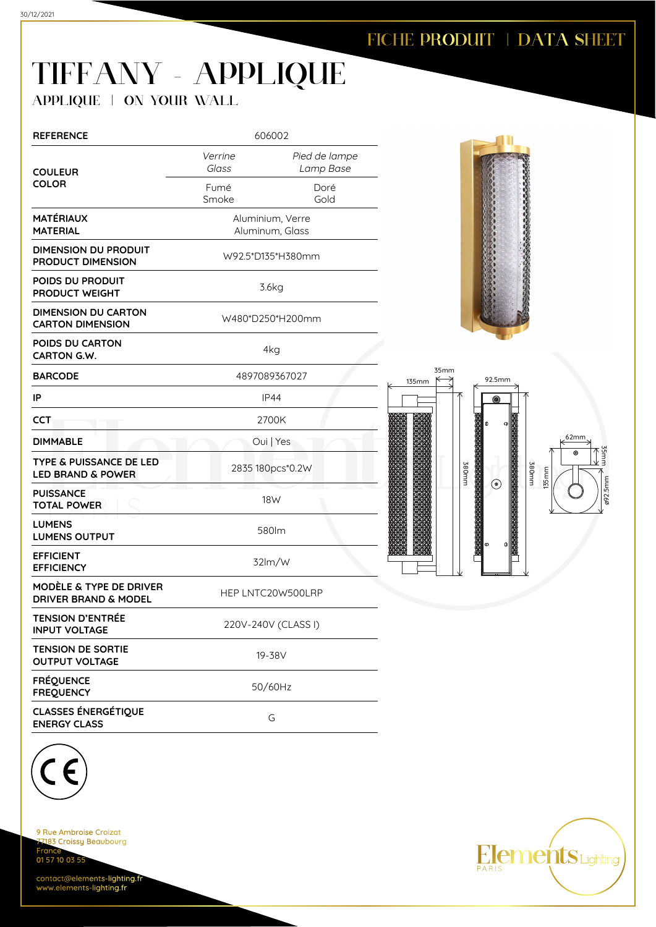## TIFFANY - APPLIQUE

APPLIQUE | ON YOUR WALL

| <b>REFERENCE</b>                                                      | 606002                              |                            |
|-----------------------------------------------------------------------|-------------------------------------|----------------------------|
| <b>COULEUR</b>                                                        | Verrine<br>Glass                    | Pied de lampe<br>Lamp Base |
| <b>COLOR</b>                                                          | Fumé<br>Smoke                       | Doré<br>Gold               |
| MATÉRIAUX<br><b>MATERIAL</b>                                          | Aluminium, Verre<br>Aluminum, Glass |                            |
| DIMENSION DU PRODUIT<br><b>PRODUCT DIMENSION</b>                      | W92.5*D135*H380mm                   |                            |
| POIDS DU PRODUIT<br>PRODUCT WEIGHT                                    | 3.6kg                               |                            |
| <b>DIMENSION DU CARTON</b><br><b>CARTON DIMENSION</b>                 | W480*D250*H200mm                    |                            |
| POIDS DU CARTON<br><b>CARTON G.W.</b>                                 | 4kg                                 |                            |
| <b>BARCODE</b>                                                        | 4897089367027                       |                            |
| ΙP                                                                    | <b>IP44</b>                         |                            |
| CCT                                                                   | 2700K                               |                            |
| <b>DIMMABLE</b>                                                       |                                     | Oui   Yes                  |
| TYPE & PUISSANCE DE LED<br><b>LED BRAND &amp; POWER</b>               | 2835 180pcs*0.2W                    |                            |
| <b>PUISSANCE</b><br><b>TOTAL POWER</b>                                | 18W                                 |                            |
| <b>LUMENS</b><br><b>LUMENS OUTPUT</b>                                 | 580lm                               |                            |
| <b>EFFICIENT</b><br><b>EFFICIENCY</b>                                 | 32lm/W                              |                            |
| <b>MODÈLE &amp; TYPE DE DRIVER</b><br><b>DRIVER BRAND &amp; MODEL</b> | HEP LNTC20W500LRP                   |                            |
| <b>TENSION D'ENTRÉE</b><br><b>INPUT VOLTAGE</b>                       | 220V-240V (CLASS I)                 |                            |
| <b>TENSION DE SORTIE</b><br><b>OUTPUT VOLTAGE</b>                     | 19-38V                              |                            |
| <b>FRÉQUENCE</b><br><b>FREQUENCY</b>                                  | 50/60Hz                             |                            |
| <b>CLASSES ÉNERGÉTIQUE</b><br><b>ENERGY CLASS</b>                     | G                                   |                            |



135mm

35mm

 $\lt$ 

380mm

 $\odot$ 





9 Rue Ambroise Croizat 183 Croissy Beaubourg Fran 01 57 10 03 55

contact@elements-lighting.fr www.elements-lighting.fr